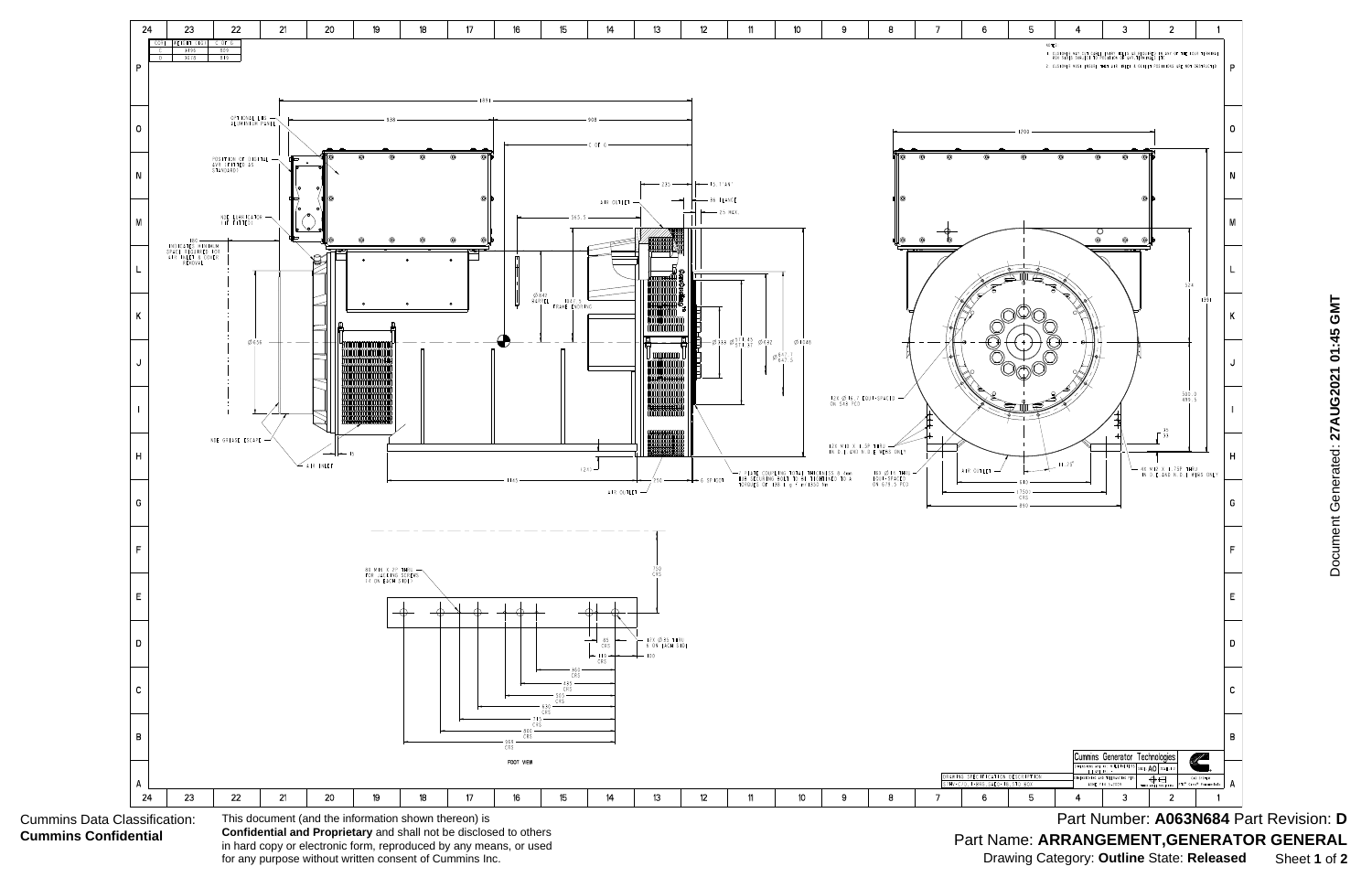

Document Generated: 27AUG2021 01:45 GMT Document Generated: **27AUG2021 01:45 GMT**

Part Number: A063N684 Part Revision: D Part Name: **ARRANGEMENT,GENERATOR GENERAL** Drawing Category: **Outline** State: **Released** Sheet **1** of **2**

in hard copy or electronic form, reproduced by any means, or used for any purpose without written consent of Cummins Inc.